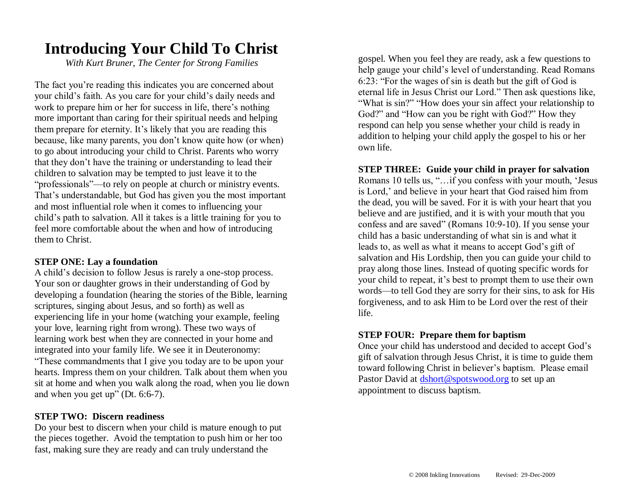## **Introducing Your Child To Christ**

*With Kurt Bruner, The Center for Strong Families*

The fact you're reading this indicates you are concerned about your child's faith. As you care for your child's daily needs and work to prepare him or her for success in life, there's nothing more important than caring for their spiritual needs and helping them prepare for eternity. It's likely that you are reading this because, like many parents, you don't know quite how (or when) to go about introducing your child to Christ. Parents who worry that they don't have the training or understanding to lead their children to salvation may be tempted to just leave it to the "professionals"—to rely on people at church or ministry events. That's understandable, but God has given you the most important and most influential role when it comes to influencing your child's path to salvation. All it takes is a little training for you to feel more comfortable about the when and how of introducing them to Christ.

## **STEP ONE: Lay a foundation**

A child's decision to follow Jesus is rarely a one-stop process. Your son or daughter grows in their understanding of God by developing a foundation (hearing the stories of the Bible, learning scriptures, singing about Jesus, and so forth) as well as experiencing life in your home (watching your example, feeling your love, learning right from wrong). These two ways of learning work best when they are connected in your home and integrated into your family life. We see it in Deuteronomy: "These commandments that I give you today are to be upon your hearts. Impress them on your children. Talk about them when you sit at home and when you walk along the road, when you lie down and when you get up" (Dt. 6:6-7).

## **STEP TWO: Discern readiness**

Do your best to discern when your child is mature enough to put the pieces together. Avoid the temptation to push him or her too fast, making sure they are ready and can truly understand the

gospel. When you feel they are ready, ask a few questions to help gauge your child's level of understanding. Read Romans 6:23: "For the wages of sin is death but the gift of God is eternal life in Jesus Christ our Lord." Then ask questions like, "What is sin?" "How does your sin affect your relationship to God?" and "How can you be right with God?" How they respond can help you sense whether your child is ready in addition to helping your child apply the gospel to his or her own life.

## **STEP THREE: Guide your child in prayer for salvation**

Romans 10 tells us, "…if you confess with your mouth, 'Jesus is Lord,' and believe in your heart that God raised him from the dead, you will be saved. For it is with your heart that you believe and are justified, and it is with your mouth that you confess and are saved" (Romans 10:9-10). If you sense your child has a basic understanding of what sin is and what it leads to, as well as what it means to accept God's gift of salvation and His Lordship, then you can guide your child to pray along those lines. Instead of quoting specific words for your child to repeat, it's best to prompt them to use their own words—to tell God they are sorry for their sins, to ask for His forgiveness, and to ask Him to be Lord over the rest of their life.

#### **STEP FOUR: Prepare them for baptism**

Once your child has understood and decided to accept God's gift of salvation through Jesus Christ, it is time to guide them toward following Christ in believer's baptism. Please email Pastor David at **dshort@spotswood.org** to set up an appointment to discuss baptism.